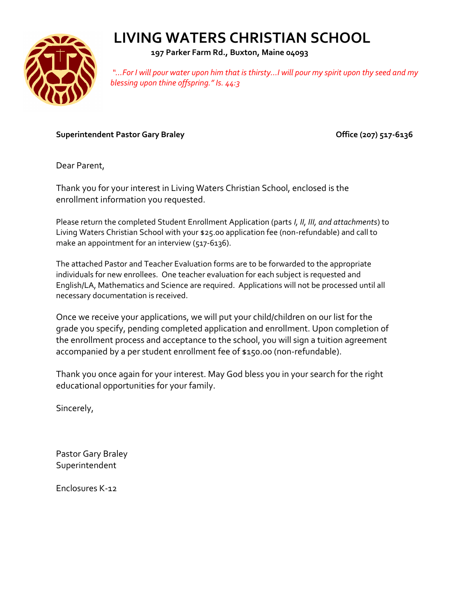

 **197 Parker Farm Rd., Buxton, Maine 04093**

*"…For I will pour water upon him that is thirsty...I will pour my spirit upon thy seed and my blessing upon thine offspring." Is. 44:3*

Superintendent Pastor Gary Braley **Community 1998** Office (207) 517-6136

Dear Parent,

Thank you for your interest in Living Waters Christian School, enclosed is the enrollment information you requested.

Please return the completed Student Enrollment Application (parts *I, II, III, and attachments*) to Living Waters Christian School with your \$25.00 application fee (non-refundable) and call to make an appointment for an interview (517-6136).

The attached Pastor and Teacher Evaluation forms are to be forwarded to the appropriate individuals for new enrollees. One teacher evaluation for each subject is requested and English/LA, Mathematics and Science are required. Applications will not be processed until all necessary documentation is received.

Once we receive your applications, we will put your child/children on our list for the grade you specify, pending completed application and enrollment. Upon completion of the enrollment process and acceptance to the school, you will sign a tuition agreement accompanied by a per student enrollment fee of \$150.00 (non-refundable).

Thank you once again for your interest. May God bless you in your search for the right educational opportunities for your family.

Sincerely,

Pastor Gary Braley Superintendent

Enclosures K-12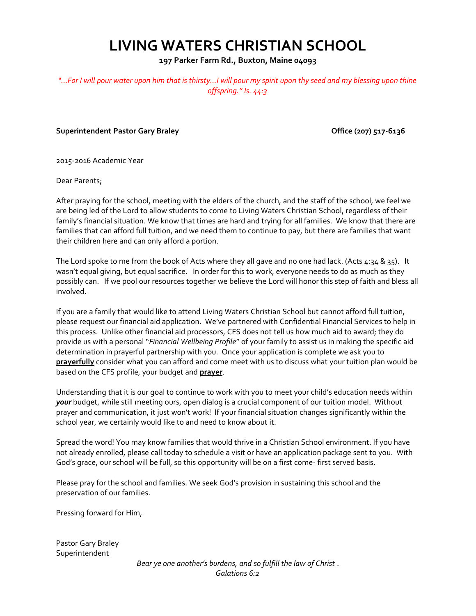**197 Parker Farm Rd., Buxton, Maine 04093**

*"…For I will pour water upon him that is thirsty...I will pour my spirit upon thy seed and my blessing upon thine offspring." Is. 44:3*

**Superintendent Pastor Gary Braley Community Community Community Community Community Community Community Community** 

2015-2016 Academic Year

Dear Parents;

After praying for the school, meeting with the elders of the church, and the staff of the school, we feel we are being led of the Lord to allow students to come to Living Waters Christian School, regardless of their family's financial situation. We know that times are hard and trying for all families. We know that there are families that can afford full tuition, and we need them to continue to pay, but there are families that want their children here and can only afford a portion.

The Lord spoke to me from the book of Acts where they all gave and no one had lack. (Acts  $4:34 \& 35$ ). It wasn't equal giving, but equal sacrifice. In order for this to work, everyone needs to do as much as they possibly can. If we pool our resources together we believe the Lord will honor this step of faith and bless all involved.

If you are a family that would like to attend Living Waters Christian School but cannot afford full tuition, please request our financial aid application. We've partnered with Confidential Financial Services to help in this process. Unlike other financial aid processors, CFS does not tell us how much aid to award; they do provide us with a personal "*Financial Wellbeing Profile*" of your family to assist us in making the specific aid determination in prayerful partnership with you. Once your application is complete we ask you to **prayerfully** consider what you can afford and come meet with us to discuss what your tuition plan would be based on the CFS profile, your budget and **prayer**.

Understanding that it is our goal to continue to work with you to meet your child's education needs within *your* budget, while still meeting ours, open dialog is a crucial component of our tuition model. Without prayer and communication, it just won't work! If your financial situation changes significantly within the school year, we certainly would like to and need to know about it.

Spread the word! You may know families that would thrive in a Christian School environment. If you have not already enrolled, please call today to schedule a visit or have an application package sent to you. With God's grace, our school will be full, so this opportunity will be on a first come- first served basis.

Please pray for the school and families. We seek God's provision in sustaining this school and the preservation of our families.

Pressing forward for Him,

Pastor Gary Braley Superintendent

*Bear ye one another's burdens, and so fulfill the law of Christ* . *Galations 6:2*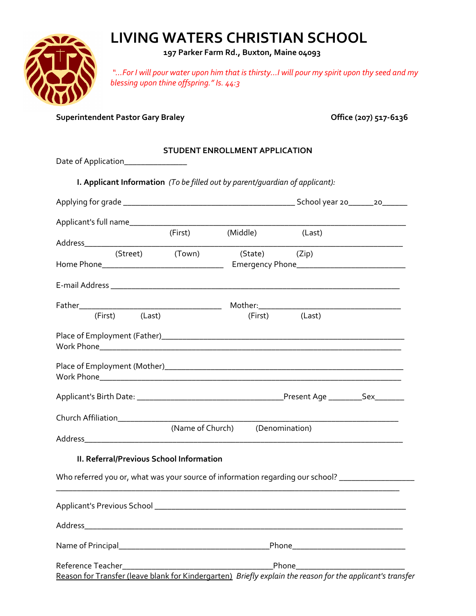

 **197 Parker Farm Rd., Buxton, Maine 04093**

*"…For I will pour water upon him that is thirsty...I will pour my spirit upon thy seed and my blessing upon thine offspring." Is. 44:3*

Superintendent Pastor Gary Braley **Contract Contract Contract Contract Contract Contract Contract Contract Contract Contract Contract Contract Contract Contract Contract Contract Contract Contract Contract Contract Contrac** 

### **STUDENT ENROLLMENT APPLICATION**

Date of Application\_\_\_\_\_\_\_\_\_\_\_\_\_\_\_\_\_\_

**I. Applicant Information** *(To be filled out by parent/guardian of applicant):*

| Applicant's full name___________                                                                           |                                 |                |  |
|------------------------------------------------------------------------------------------------------------|---------------------------------|----------------|--|
|                                                                                                            | (First) (Middle)                | (Last)         |  |
|                                                                                                            | (Street) (Town) (State) (Zip)   |                |  |
|                                                                                                            |                                 |                |  |
|                                                                                                            |                                 |                |  |
|                                                                                                            |                                 |                |  |
| (First) (Last)                                                                                             |                                 | (First) (Last) |  |
|                                                                                                            |                                 |                |  |
|                                                                                                            |                                 |                |  |
|                                                                                                            |                                 |                |  |
|                                                                                                            |                                 |                |  |
|                                                                                                            | (Name of Church) (Denomination) |                |  |
| II. Referral/Previous School Information                                                                   |                                 |                |  |
| Who referred you or, what was your source of information regarding our school? ____________________        |                                 |                |  |
|                                                                                                            |                                 |                |  |
|                                                                                                            |                                 |                |  |
|                                                                                                            |                                 |                |  |
|                                                                                                            |                                 |                |  |
| Reason for Transfer (leave blank for Kindergarten) Briefly explain the reason for the applicant's transfer |                                 |                |  |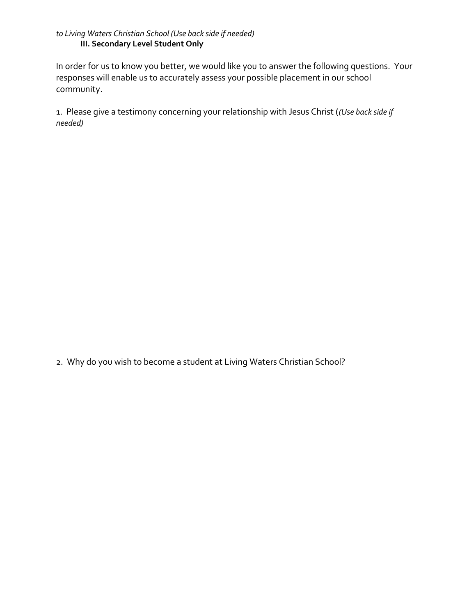### *to Living Waters Christian School (Use back side if needed)* **III. Secondary Level Student Only**

In order for us to know you better, we would like you to answer the following questions. Your responses will enable us to accurately assess your possible placement in our school community.

1. Please give a testimony concerning your relationship with Jesus Christ (*(Use back side if needed)*

2. Why do you wish to become a student at Living Waters Christian School?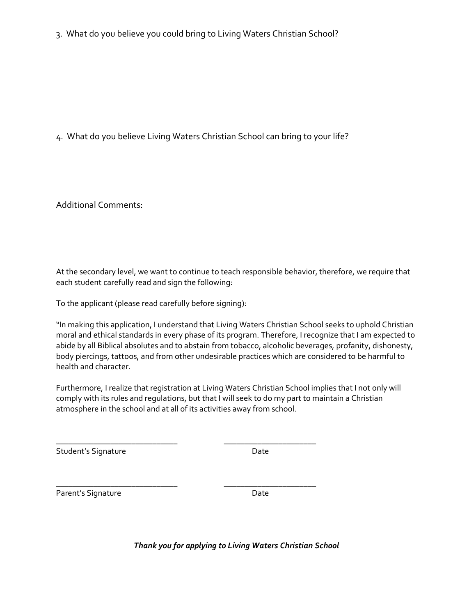3. What do you believe you could bring to Living Waters Christian School?

4. What do you believe Living Waters Christian School can bring to your life?

Additional Comments:

At the secondary level, we want to continue to teach responsible behavior, therefore, we require that each student carefully read and sign the following:

To the applicant (please read carefully before signing):

"In making this application, I understand that Living Waters Christian School seeks to uphold Christian moral and ethical standards in every phase of its program. Therefore, I recognize that I am expected to abide by all Biblical absolutes and to abstain from tobacco, alcoholic beverages, profanity, dishonesty, body piercings, tattoos, and from other undesirable practices which are considered to be harmful to health and character.

Furthermore, I realize that registration at Living Waters Christian School implies that I not only will comply with its rules and regulations, but that I will seek to do my part to maintain a Christian atmosphere in the school and at all of its activities away from school.

\_\_\_\_\_\_\_\_\_\_\_\_\_\_\_\_\_\_\_\_\_\_\_\_\_\_\_\_\_ \_\_\_\_\_\_\_\_\_\_\_\_\_\_\_\_\_\_\_\_\_\_

\_\_\_\_\_\_\_\_\_\_\_\_\_\_\_\_\_\_\_\_\_\_\_\_\_\_\_\_\_ \_\_\_\_\_\_\_\_\_\_\_\_\_\_\_\_\_\_\_\_\_\_

Student's Signature Date

Parent's Signature Date

*Thank you for applying to Living Waters Christian School*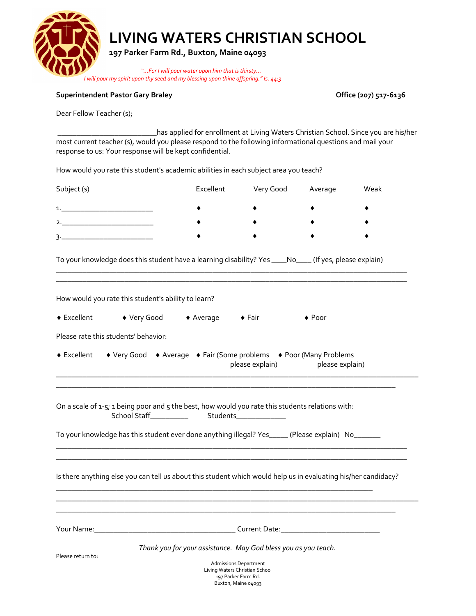

 **197 Parker Farm Rd., Buxton, Maine 04093**

 *"…For I will pour water upon him that is thirsty... I will pour my spirit upon thy seed and my blessing upon thine offspring." Is. 44:3*

#### Superintendent Pastor Gary Braley **Communist Communist Communist Communist Communist Communist Communist Communist Communist Communist Communist Communist Communist Communist Communist Communist Communist Communist Communi**

Dear Fellow Teacher (s);

 \_\_\_\_\_\_\_\_\_\_\_\_\_\_\_\_\_\_\_\_\_\_\_\_\_\_has applied for enrollment at Living Waters Christian School. Since you are his/her most current teacher (s), would you please respond to the following informational questions and mail your response to us: Your response will be kept confidential.

How would you rate this student's academic abilities in each subject area you teach?

| Subject (s)  | Excellent | Very Good | Average | Weak |
|--------------|-----------|-----------|---------|------|
| $\mathbf{1}$ |           |           |         |      |
| 2.           |           |           |         |      |
| っ            |           |           |         |      |

To your knowledge does this student have a learning disability? Yes \_\_\_\_No\_\_\_\_ (If yes, please explain)

\_\_\_\_\_\_\_\_\_\_\_\_\_\_\_\_\_\_\_\_\_\_\_\_\_\_\_\_\_\_\_\_\_\_\_\_\_\_\_\_\_\_\_\_\_\_\_\_\_\_\_\_\_\_\_\_\_\_\_\_\_\_\_\_\_\_\_\_\_\_\_\_\_\_\_\_\_\_\_\_\_\_\_\_\_\_\_\_\_\_\_\_

|                   | How would you rate this student's ability to learn? |                                                                |                                                                                                                                                                                                       |
|-------------------|-----------------------------------------------------|----------------------------------------------------------------|-------------------------------------------------------------------------------------------------------------------------------------------------------------------------------------------------------|
|                   | ◆ Excellent ◆ Very Good → Average → Fair            |                                                                | $\bullet$ Poor                                                                                                                                                                                        |
|                   | Please rate this students' behavior:                |                                                                |                                                                                                                                                                                                       |
|                   |                                                     |                                                                | ◆ Excellent → Very Good → Average → Fair (Some problems → Poor (Many Problems<br>please explain) blease explain)                                                                                      |
|                   |                                                     |                                                                |                                                                                                                                                                                                       |
|                   |                                                     |                                                                | On a scale of 1-5; 1 being poor and 5 the best, how would you rate this students relations with:<br>To your knowledge has this student ever done anything illegal? Yes_____(Please explain) No_______ |
|                   |                                                     |                                                                |                                                                                                                                                                                                       |
|                   |                                                     |                                                                | Is there anything else you can tell us about this student which would help us in evaluating his/her candidacy?                                                                                        |
|                   |                                                     |                                                                | <u> 1989 - Johann Stoff, amerikansk politiker (d. 1989)</u>                                                                                                                                           |
|                   |                                                     |                                                                |                                                                                                                                                                                                       |
| Please return to: |                                                     | <b>Admissions Department</b><br>Living Waters Christian School | Thank you for your assistance. May God bless you as you teach.                                                                                                                                        |

Living Waters Christian School 197 Parker Farm Rd. Buxton, Maine 04093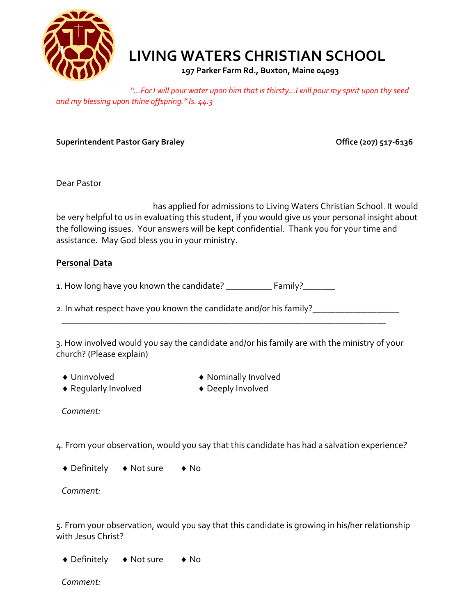

 **197 Parker Farm Rd., Buxton, Maine 04093**

*"…For I will pour water upon him that is thirsty...I will pour my spirit upon thy seed and my blessing upon thine offspring." Is. 44:3*

Superintendent Pastor Gary Braley **Communist Communist Communist Communist Communist Communist Communist Communist Communist Communist Communist Communist Communist Communist Communist Communist Communist Communist Communi** 

Dear Pastor

 has applied for admissions to Living Waters Christian School. It would be very helpful to us in evaluating this student, if you would give us your personal insight about the following issues. Your answers will be kept confidential. Thank you for your time and assistance. May God bless you in your ministry.

### **Personal Data**

1. How long have you known the candidate? \_\_\_\_\_\_\_\_\_\_\_ Family?\_\_\_\_\_\_\_\_

2. In what respect have you known the candidate and/or his family?\_\_\_\_\_\_\_\_\_\_\_\_\_\_

3. How involved would you say the candidate and/or his family are with the ministry of your church? (Please explain)

\_\_\_\_\_\_\_\_\_\_\_\_\_\_\_\_\_\_\_\_\_\_\_\_\_\_\_\_\_\_\_\_\_\_\_\_\_\_\_\_\_\_\_\_\_\_\_\_\_\_\_\_\_\_\_\_\_\_\_\_\_\_\_\_\_\_\_\_\_\_\_

- 
- ◆ Regularly Involved → Deeply Involved
- ◆ Uninvolved **◆ Nominally Involved** 
	-

*Comment:*

4. From your observation, would you say that this candidate has had a salvation experience?

◆ Definitely → Not sure → No

*Comment:*

5. From your observation, would you say that this candidate is growing in his/her relationship with Jesus Christ?

◆ Definitely → Not sure → No

*Comment:*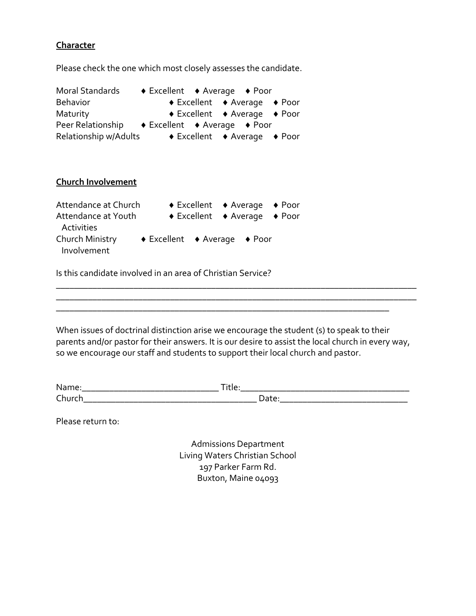### **Character**

Please check the one which most closely assesses the candidate.

| Moral Standards                                                          | $\bullet$ Excellent $\bullet$ Average $\bullet$ Poor |                                                                                |                                                      |  |
|--------------------------------------------------------------------------|------------------------------------------------------|--------------------------------------------------------------------------------|------------------------------------------------------|--|
| <b>Behavior</b>                                                          |                                                      |                                                                                | $\bullet$ Excellent $\bullet$ Average $\bullet$ Poor |  |
| Maturity                                                                 |                                                      |                                                                                | $\bullet$ Excellent $\bullet$ Average $\bullet$ Poor |  |
| Peer Relationship                                                        | $\bullet$ Excellent $\bullet$ Average $\bullet$ Poor |                                                                                |                                                      |  |
| Relationship w/Adults                                                    |                                                      | $\bullet$ Excellent $\bullet$ Average                                          | $\bullet$ Poor                                       |  |
| <b>Church Involvement</b><br>Attendance at Church<br>Attendance at Youth |                                                      | $\bullet$ Excellent $\bullet$ Average<br>$\bullet$ Excellent $\bullet$ Average | $\bullet$ Poor<br>$\bullet$ Poor                     |  |
| Activities                                                               |                                                      |                                                                                |                                                      |  |
| Church Ministry<br>Involvement                                           | $\bullet$ Excellent $\bullet$ Average                |                                                                                | $\bullet$ Poor                                       |  |

Is this candidate involved in an area of Christian Service?

When issues of doctrinal distinction arise we encourage the student (s) to speak to their parents and/or pastor for their answers. It is our desire to assist the local church in every way, so we encourage our staff and students to support their local church and pastor.

\_\_\_\_\_\_\_\_\_\_\_\_\_\_\_\_\_\_\_\_\_\_\_\_\_\_\_\_\_\_\_\_\_\_\_\_\_\_\_\_\_\_\_\_\_\_\_\_\_\_\_\_\_\_\_\_\_\_\_\_\_\_\_\_\_\_\_\_\_\_\_\_\_

\_\_\_\_\_\_\_\_\_\_\_\_\_\_\_\_\_\_\_\_\_\_\_\_\_\_\_\_\_\_\_\_\_\_\_\_\_\_\_\_\_\_\_\_\_\_\_\_\_\_\_\_\_\_\_\_\_\_\_\_\_\_\_\_\_\_\_\_\_\_\_\_\_\_\_\_\_\_\_ \_\_\_\_\_\_\_\_\_\_\_\_\_\_\_\_\_\_\_\_\_\_\_\_\_\_\_\_\_\_\_\_\_\_\_\_\_\_\_\_\_\_\_\_\_\_\_\_\_\_\_\_\_\_\_\_\_\_\_\_\_\_\_\_\_\_\_\_\_\_\_\_\_\_\_\_\_\_\_

| Nar<br>$\ddot{\phantom{0}}$<br>. . | $\sim$<br>. . |
|------------------------------------|---------------|
| $7$ hun<br>-----<br>---            | ້             |

Please return to:

Admissions Department Living Waters Christian School 197 Parker Farm Rd. Buxton, Maine 04093